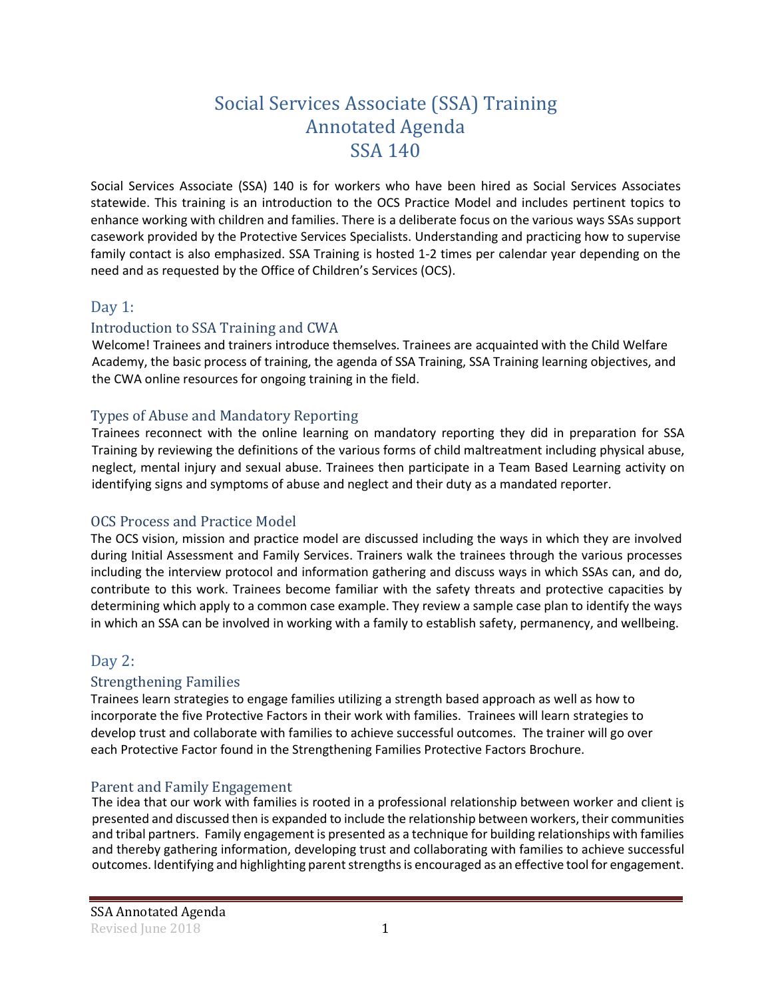# Social Services Associate (SSA) Training Annotated Agenda SSA 140

Social Services Associate (SSA) 140 is for workers who have been hired as Social Services Associates statewide. This training is an introduction to the OCS Practice Model and includes pertinent topics to enhance working with children and families. There is a deliberate focus on the various ways SSAs support casework provided by the Protective Services Specialists. Understanding and practicing how to supervise family contact is also emphasized. SSA Training is hosted 1-2 times per calendar year depending on the need and as requested by the Office of Children's Services (OCS).

# Day 1:

# Introduction to SSA Training and CWA

Welcome! Trainees and trainers introduce themselves. Trainees are acquainted with the Child Welfare Academy, the basic process of training, the agenda of SSA Training, SSA Training learning objectives, and the CWA online resources for ongoing training in the field.

# Types of Abuse and Mandatory Reporting

Trainees reconnect with the online learning on mandatory reporting they did in preparation for SSA Training by reviewing the definitions of the various forms of child maltreatment including physical abuse, neglect, mental injury and sexual abuse. Trainees then participate in a Team Based Learning activity on identifying signs and symptoms of abuse and neglect and their duty as a mandated reporter.

## OCS Process and Practice Model

The OCS vision, mission and practice model are discussed including the ways in which they are involved during Initial Assessment and Family Services. Trainers walk the trainees through the various processes including the interview protocol and information gathering and discuss ways in which SSAs can, and do, contribute to this work. Trainees become familiar with the safety threats and protective capacities by determining which apply to a common case example. They review a sample case plan to identify the ways in which an SSA can be involved in working with a family to establish safety, permanency, and wellbeing.

# Day 2:

# Strengthening Families

Trainees learn strategies to engage families utilizing a strength based approach as well as how to incorporate the five Protective Factors in their work with families. Trainees will learn strategies to develop trust and collaborate with families to achieve successful outcomes. The trainer will go over each Protective Factor found in the Strengthening Families Protective Factors Brochure.

# Parent and Family Engagement

The idea that our work with families is rooted in a professional relationship between worker and client is presented and discussed then is expanded to include the relationship between workers, their communities and tribal partners. Family engagement is presented as a technique for building relationships with families and thereby gathering information, developing trust and collaborating with families to achieve successful outcomes. Identifying and highlighting parent strengths is encouraged as an effective tool for engagement.